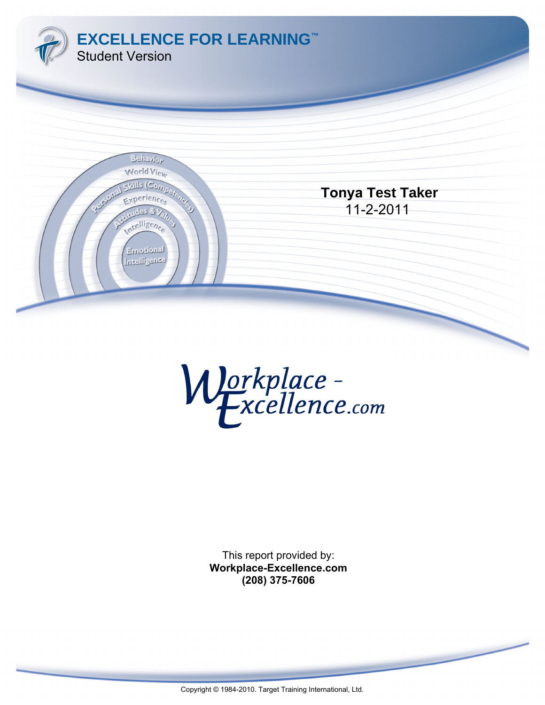



This report provided by: **Workplace-Excellence.com (208) 375-7606**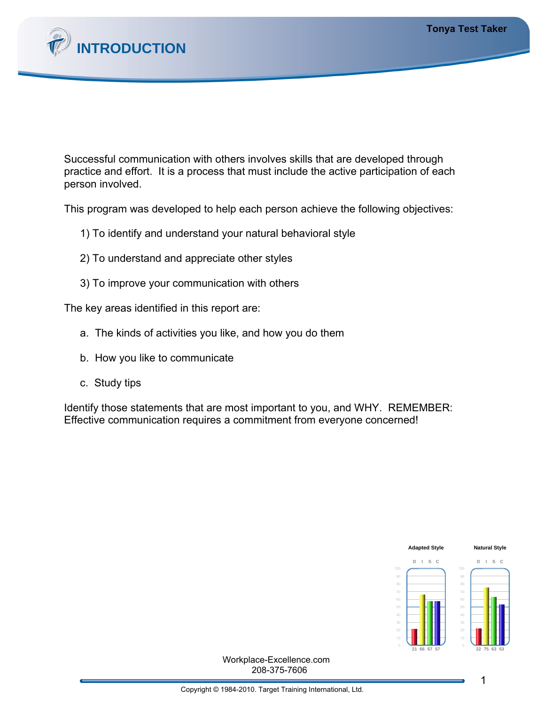

Successful communication with others involves skills that are developed through practice and effort. It is a process that must include the active participation of each person involved.

This program was developed to help each person achieve the following objectives:

- 1) To identify and understand your natural behavioral style
- 2) To understand and appreciate other styles
- 3) To improve your communication with others

The key areas identified in this report are:

- a. The kinds of activities you like, and how you do them
- b. How you like to communicate
- c. Study tips

Identify those statements that are most important to you, and WHY. REMEMBER: Effective communication requires a commitment from everyone concerned!



208-375-7606 Workplace-Excellence.com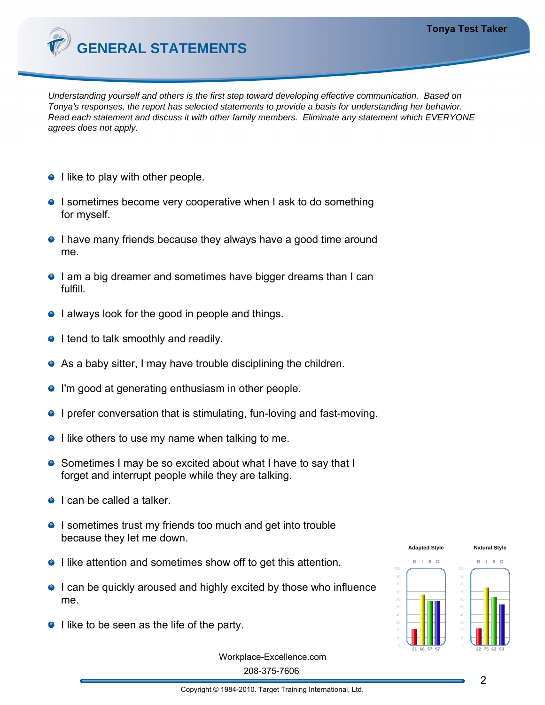

Understanding yourself and others is the first step toward developing effective communication. Based on T*onya'*s responses, the report has selected statements to provide a basis for understanding her behavior. Read each statement and discuss it with other family members. Eliminate any statement which EVERYONE agrees does not apply.

- $\bullet$  I like to play with other people.
- **I** sometimes become very cooperative when I ask to do something for myself.
- **I** have many friends because they always have a good time around me.
- **I am a big dreamer and sometimes have bigger dreams than I can** fulfill.
- **I** always look for the good in people and things.
- $\bullet$  I tend to talk smoothly and readily.
- As a baby sitter, I may have trouble disciplining the children.
- **•** I'm good at generating enthusiasm in other people.
- **I** prefer conversation that is stimulating, fun-loving and fast-moving.
- $\bullet$  I like others to use my name when talking to me.
- Sometimes I may be so excited about what I have to say that I forget and interrupt people while they are talking.
- $\bullet$  I can be called a talker.
- **I** sometimes trust my friends too much and get into trouble because they let me down.
- **I** like attention and sometimes show off to get this attention.
- **I** can be quickly aroused and highly excited by those who influence me.
- $\bullet$  I like to be seen as the life of the party.



208-375-7606 Workplace-Excellence.com

Copyright © 1984-2010. Target Training International, Ltd.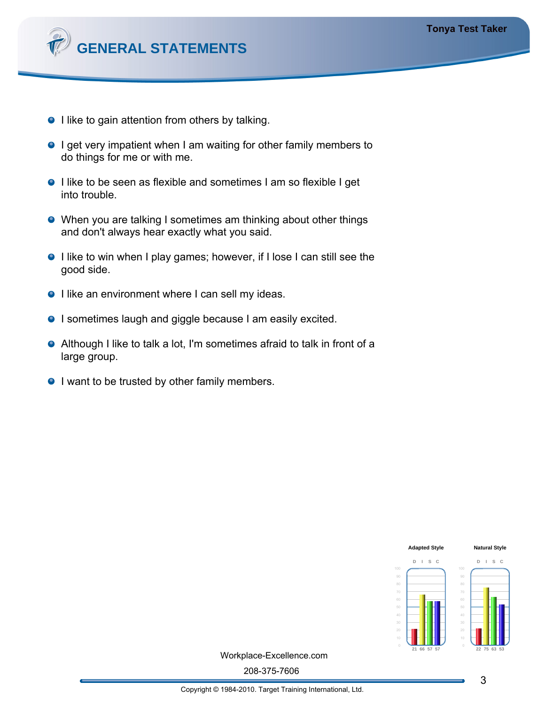

- I like to gain attention from others by talking.
- **I** get very impatient when I am waiting for other family members to do things for me or with me.
- **I** like to be seen as flexible and sometimes I am so flexible I get into trouble.
- When you are talking I sometimes am thinking about other things and don't always hear exactly what you said.
- I like to win when I play games; however, if I lose I can still see the good side.
- I like an environment where I can sell my ideas.
- **I** sometimes laugh and giggle because I am easily excited.
- Although I like to talk a lot, I'm sometimes afraid to talk in front of a large group.
- **I** want to be trusted by other family members.



Workplace-Excellence.com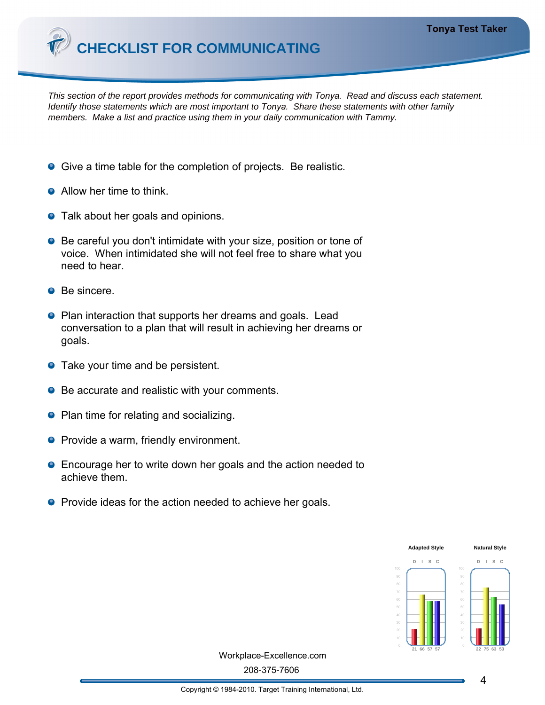

This section of the report provides methods for communicating with *Tonya*. Read and discuss each statement. Identify those statements which are most important to *Tonya*. Share these statements with other family members. Make a list and practice using them in your daily communication with Tammy.

- **Give a time table for the completion of projects. Be realistic.**
- Allow her time to think.
- **•** Talk about her goals and opinions.
- Be careful you don't intimidate with your size, position or tone of voice. When intimidated she will not feel free to share what you need to hear.
- **O** Be sincere.
- **P** Plan interaction that supports her dreams and goals. Lead conversation to a plan that will result in achieving her dreams or goals.
- **•** Take your time and be persistent.
- Be accurate and realistic with your comments.
- Plan time for relating and socializing.
- **Provide a warm, friendly environment.**
- **Encourage her to write down her goals and the action needed to** achieve them.
- **•** Provide ideas for the action needed to achieve her goals.



Workplace-Excellence.com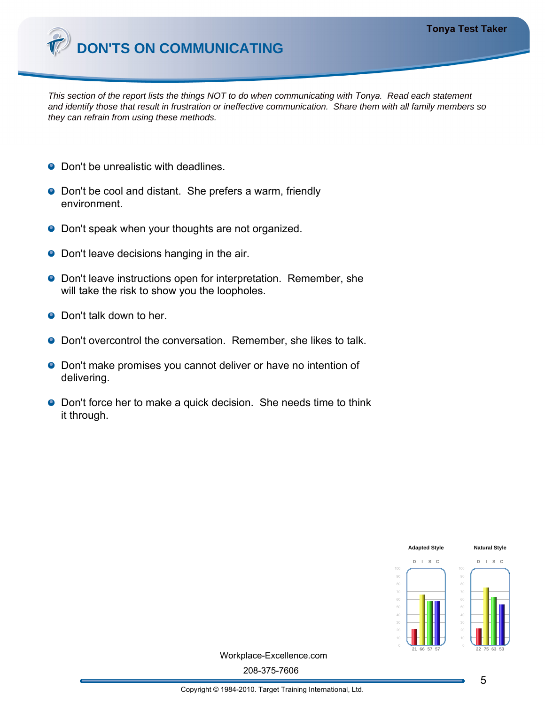

This section of the report lists the things NOT to do when communicating with *Tonya*. Read each statement and identify those that result in frustration or ineffective communication. Share them with all family members so they can refrain from using these methods.

- Don't be unrealistic with deadlines.
- Don't be cool and distant. She prefers a warm, friendly environment.
- **O** Don't speak when your thoughts are not organized.
- Don't leave decisions hanging in the air.
- **O** Don't leave instructions open for interpretation. Remember, she will take the risk to show you the loopholes.
- **O** Don't talk down to her.
- **O** Don't overcontrol the conversation. Remember, she likes to talk.
- **O** Don't make promises you cannot deliver or have no intention of delivering.
- **O** Don't force her to make a quick decision. She needs time to think it through.



Workplace-Excellence.com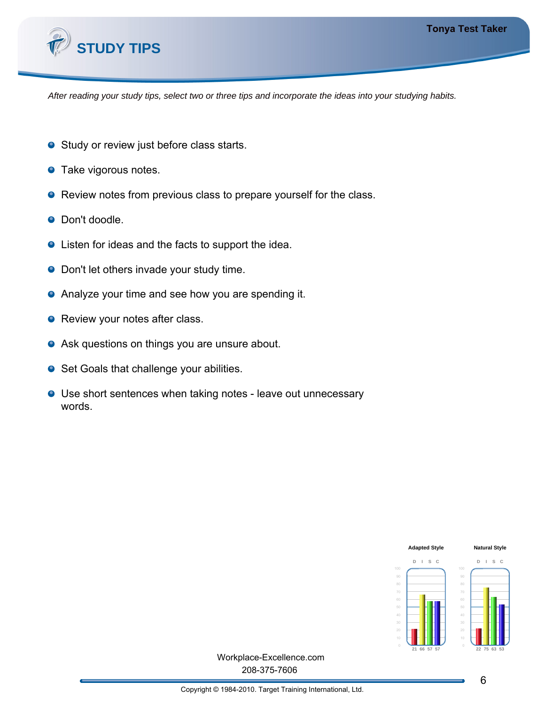

After reading your study tips, select two or three tips and incorporate the ideas into your studying habits.

- **•** Study or review just before class starts.
- **•** Take vigorous notes.
- Review notes from previous class to prepare yourself for the class.
- **O** Don't doodle.
- Listen for ideas and the facts to support the idea.
- **•** Don't let others invade your study time.
- **•** Analyze your time and see how you are spending it.
- Review your notes after class.
- Ask questions on things you are unsure about.
- Set Goals that challenge your abilities.
- Use short sentences when taking notes leave out unnecessary words.



208-375-7606 Workplace-Excellence.com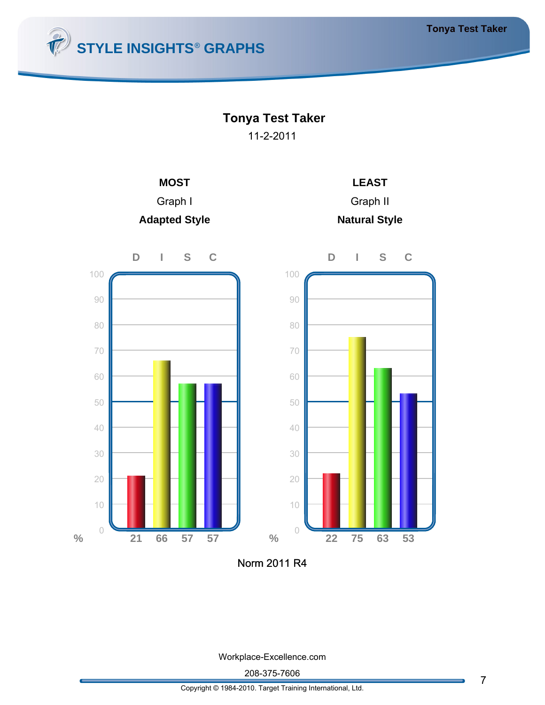

## **Tonya Test Taker**

11-2-2011







Norm 2011 R4

Workplace-Excellence.com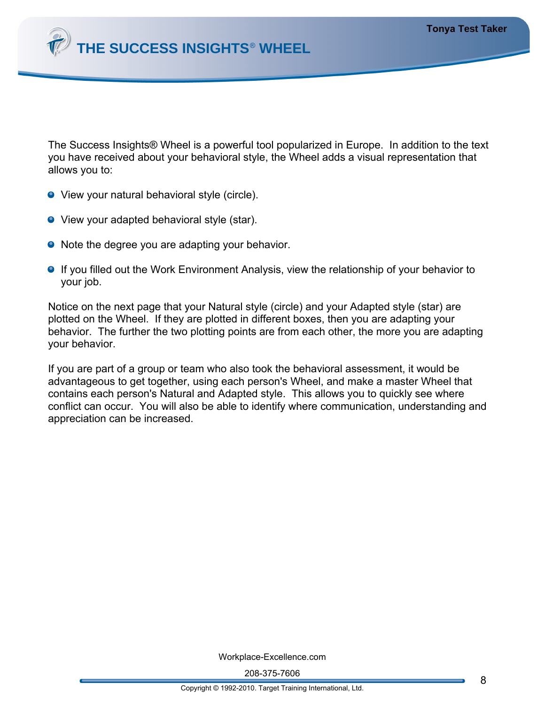

The Success Insights® Wheel is a powerful tool popularized in Europe. In addition to the text you have received about your behavioral style, the Wheel adds a visual representation that allows you to:

- View your natural behavioral style (circle).
- **•** View your adapted behavioral style (star).
- Note the degree you are adapting your behavior.
- **If you filled out the Work Environment Analysis, view the relationship of your behavior to** your job.

Notice on the next page that your Natural style (circle) and your Adapted style (star) are plotted on the Wheel. If they are plotted in different boxes, then you are adapting your behavior. The further the two plotting points are from each other, the more you are adapting your behavior.

If you are part of a group or team who also took the behavioral assessment, it would be advantageous to get together, using each person's Wheel, and make a master Wheel that contains each person's Natural and Adapted style. This allows you to quickly see where conflict can occur. You will also be able to identify where communication, understanding and appreciation can be increased.

Workplace-Excellence.com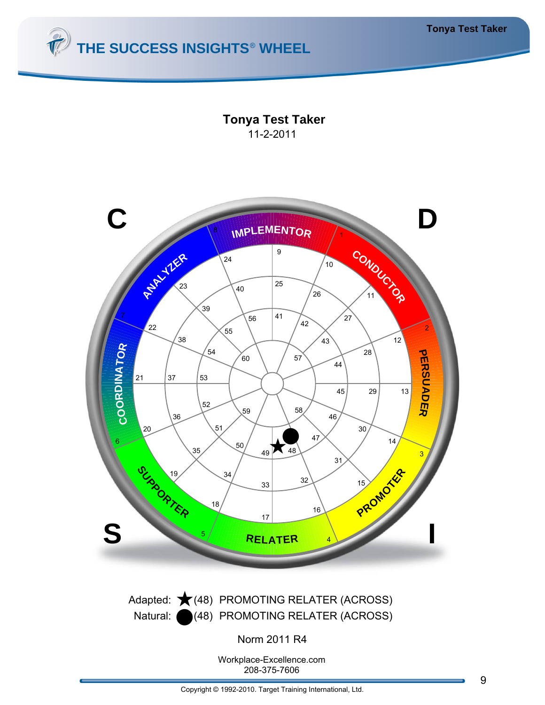

**Tonya Test Taker** 11-2-2011

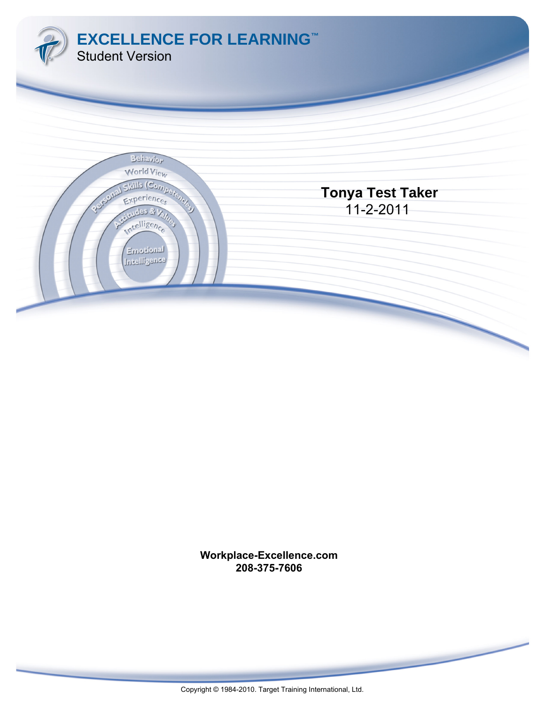

**Workplace-Excellence.com 208-375-7606**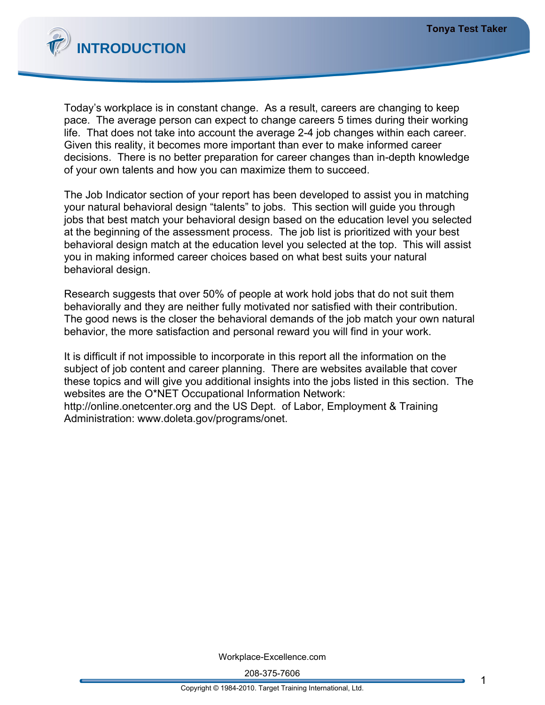

Today's workplace is in constant change. As a result, careers are changing to keep pace. The average person can expect to change careers 5 times during their working life. That does not take into account the average 2-4 job changes within each career. Given this reality, it becomes more important than ever to make informed career decisions. There is no better preparation for career changes than in-depth knowledge of your own talents and how you can maximize them to succeed.

The Job Indicator section of your report has been developed to assist you in matching your natural behavioral design "talents" to jobs. This section will guide you through jobs that best match your behavioral design based on the education level you selected at the beginning of the assessment process. The job list is prioritized with your best behavioral design match at the education level you selected at the top. This will assist you in making informed career choices based on what best suits your natural behavioral design.

Research suggests that over 50% of people at work hold jobs that do not suit them behaviorally and they are neither fully motivated nor satisfied with their contribution. The good news is the closer the behavioral demands of the job match your own natural behavior, the more satisfaction and personal reward you will find in your work.

It is difficult if not impossible to incorporate in this report all the information on the subject of job content and career planning. There are websites available that cover these topics and will give you additional insights into the jobs listed in this section. The websites are the O\*NET Occupational Information Network: http://online.onetcenter.org and the US Dept. of Labor, Employment & Training Administration: www.doleta.gov/programs/onet.

Workplace-Excellence.com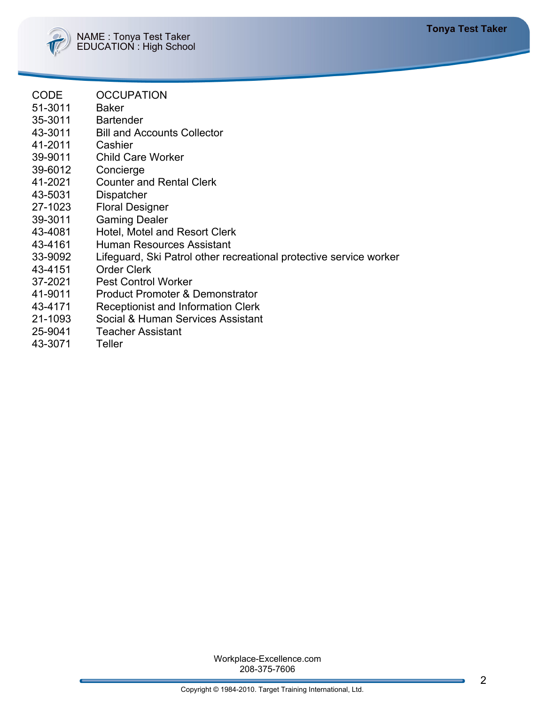

- CODE OCCUPATION
- 51-3011 Baker
- 35-3011 Bartender
- 43-3011 Bill and Accounts Collector
- 41-2011 Cashier
- 39-9011 Child Care Worker
- 39-6012 Concierge
- 41-2021 Counter and Rental Clerk
- 43-5031 Dispatcher
- 27-1023 Floral Designer
- 39-3011 Gaming Dealer
- 43-4081 Hotel, Motel and Resort Clerk
- 43-4161 Human Resources Assistant
- 33-9092 Lifeguard, Ski Patrol other recreational protective service worker
- 43-4151 Order Clerk
- 37-2021 Pest Control Worker
- 41-9011 Product Promoter & Demonstrator
- 43-4171 Receptionist and Information Clerk
- 21-1093 Social & Human Services Assistant
- 25-9041 Teacher Assistant
- 43-3071 Teller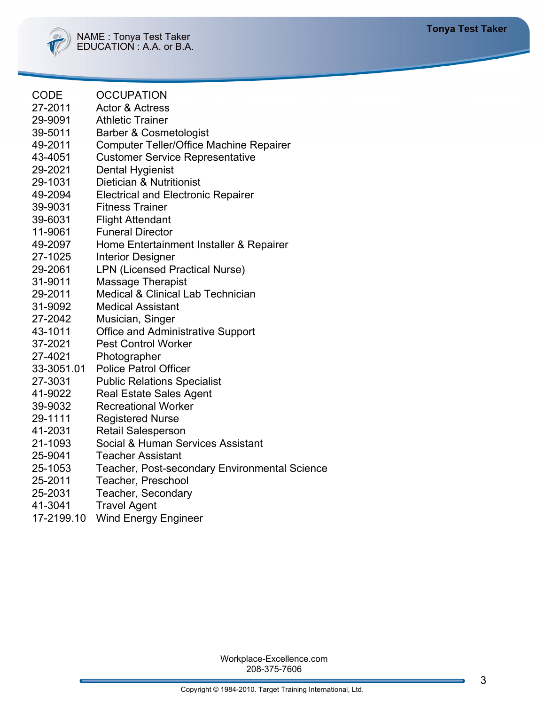| CODE    | <b>OCCUPATION</b> |
|---------|-------------------|
| 57 5811 | A 0 A             |

- 27-2011 Actor & Actress 29-9091 Athletic Trainer
- 39-5011 Barber & Cosmetologist
- 49-2011 Computer Teller/Office Machine Repairer
- 43-4051 Customer Service Representative
- 29-2021 Dental Hygienist
- 29-1031 Dietician & Nutritionist
- 49-2094 Electrical and Electronic Repairer
- 39-9031 Fitness Trainer
- 39-6031 Flight Attendant
- 11-9061 Funeral Director
- 49-2097 Home Entertainment Installer & Repairer
- 27-1025 Interior Designer
- 29-2061 LPN (Licensed Practical Nurse)
- 31-9011 Massage Therapist
- 29-2011 Medical & Clinical Lab Technician
- 31-9092 Medical Assistant
- 27-2042 Musician, Singer
- 43-1011 Office and Administrative Support
- 37-2021 Pest Control Worker
- 27-4021 Photographer
- 33-3051.01 Police Patrol Officer
- 27-3031 Public Relations Specialist
- 41-9022 Real Estate Sales Agent
- 39-9032 Recreational Worker
- 29-1111 Registered Nurse
- 41-2031 Retail Salesperson
- 21-1093 Social & Human Services Assistant
- 25-9041 Teacher Assistant
- 25-1053 Teacher, Post-secondary Environmental Science
- 25-2011 Teacher, Preschool
- 25-2031 Teacher, Secondary
- 41-3041 Travel Agent
- 17-2199.10 Wind Energy Engineer